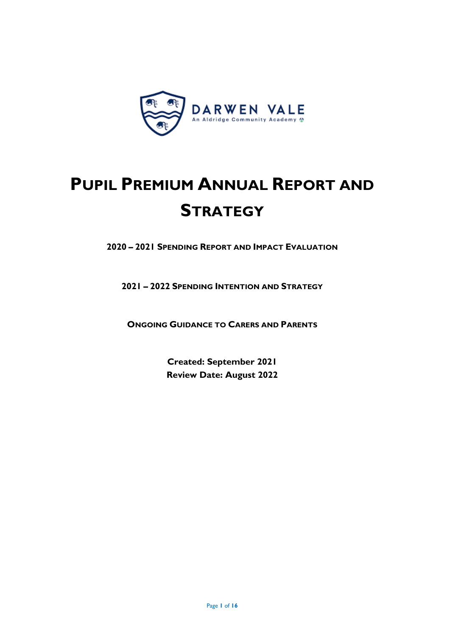

# **PUPIL PREMIUM ANNUAL REPORT AND STRATEGY**

**2020 – 2021 SPENDING REPORT AND IMPACT EVALUATION**

**2021 – 2022 SPENDING INTENTION AND STRATEGY**

**ONGOING GUIDANCE TO CARERS AND PARENTS**

**Created: September 2021 Review Date: August 2022**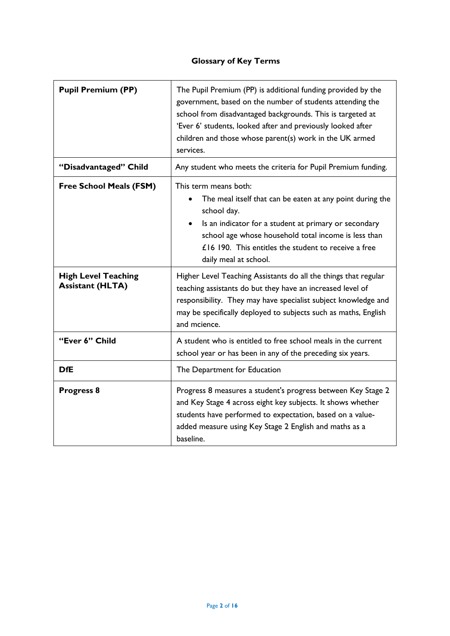# **Glossary of Key Terms**

| <b>Pupil Premium (PP)</b>                             | The Pupil Premium (PP) is additional funding provided by the<br>government, based on the number of students attending the<br>school from disadvantaged backgrounds. This is targeted at<br>'Ever 6' students, looked after and previously looked after<br>children and those whose parent(s) work in the UK armed<br>services. |  |  |
|-------------------------------------------------------|--------------------------------------------------------------------------------------------------------------------------------------------------------------------------------------------------------------------------------------------------------------------------------------------------------------------------------|--|--|
| "Disadvantaged" Child                                 | Any student who meets the criteria for Pupil Premium funding.                                                                                                                                                                                                                                                                  |  |  |
| <b>Free School Meals (FSM)</b>                        | This term means both:<br>The meal itself that can be eaten at any point during the<br>school day.<br>Is an indicator for a student at primary or secondary<br>school age whose household total income is less than<br>£16 190. This entitles the student to receive a free<br>daily meal at school.                            |  |  |
| <b>High Level Teaching</b><br><b>Assistant (HLTA)</b> | Higher Level Teaching Assistants do all the things that regular<br>teaching assistants do but they have an increased level of<br>responsibility. They may have specialist subject knowledge and<br>may be specifically deployed to subjects such as maths, English<br>and mcience.                                             |  |  |
| "Ever 6" Child                                        | A student who is entitled to free school meals in the current<br>school year or has been in any of the preceding six years.                                                                                                                                                                                                    |  |  |
| <b>DfE</b>                                            | The Department for Education                                                                                                                                                                                                                                                                                                   |  |  |
| <b>Progress 8</b>                                     | Progress 8 measures a student's progress between Key Stage 2<br>and Key Stage 4 across eight key subjects. It shows whether<br>students have performed to expectation, based on a value-<br>added measure using Key Stage 2 English and maths as a<br>baseline.                                                                |  |  |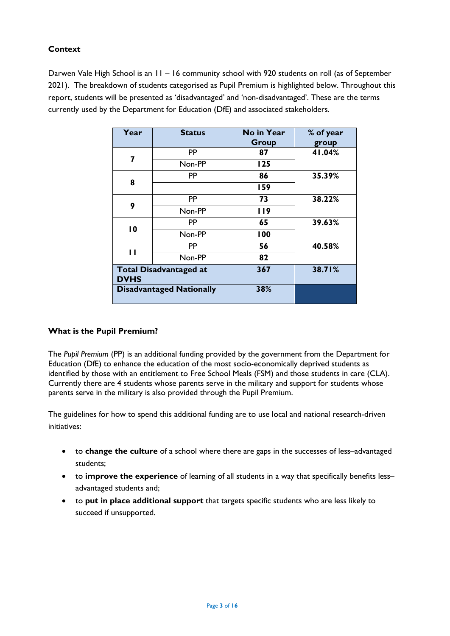# **Context**

Darwen Vale High School is an 11 – 16 community school with 920 students on roll (as of September 2021). The breakdown of students categorised as Pupil Premium is highlighted below. Throughout this report, students will be presented as 'disadvantaged' and 'non-disadvantaged'. These are the terms currently used by the Department for Education (DfE) and associated stakeholders.

| Year                                         | <b>Status</b>                   | No in Year<br><b>Group</b> | % of year<br>group |
|----------------------------------------------|---------------------------------|----------------------------|--------------------|
| 7                                            | <b>PP</b>                       | 87                         | 41.04%             |
|                                              | Non-PP                          | 125                        |                    |
|                                              | PP                              | 86                         | 35.39%             |
| 8                                            |                                 | 159                        |                    |
| 9                                            | <b>PP</b>                       | 73                         | 38.22%             |
|                                              | Non-PP                          | <b>119</b>                 |                    |
| 10                                           | <b>PP</b>                       | 65                         | 39.63%             |
|                                              | Non-PP                          | 100                        |                    |
|                                              | PP                              | 56                         | 40.58%             |
| $\mathbf{I}$                                 | Non-PP                          | 82                         |                    |
| <b>Total Disadvantaged at</b><br><b>DVHS</b> |                                 | 367                        | 38.71%             |
|                                              | <b>Disadvantaged Nationally</b> | 38%                        |                    |

## **What is the Pupil Premium?**

The *Pupil Premium* (PP) is an additional funding provided by the government from the Department for Education (DfE) to enhance the education of the most socio-economically deprived students as identified by those with an entitlement to Free School Meals (FSM) and those students in care (CLA). Currently there are 4 students whose parents serve in the military and support for students whose parents serve in the military is also provided through the Pupil Premium.

The guidelines for how to spend this additional funding are to use local and national research-driven initiatives:

- to **change the culture** of a school where there are gaps in the successes of less–advantaged students;
- to **improve the experience** of learning of all students in a way that specifically benefits less– advantaged students and;
- to **put in place additional support** that targets specific students who are less likely to succeed if unsupported.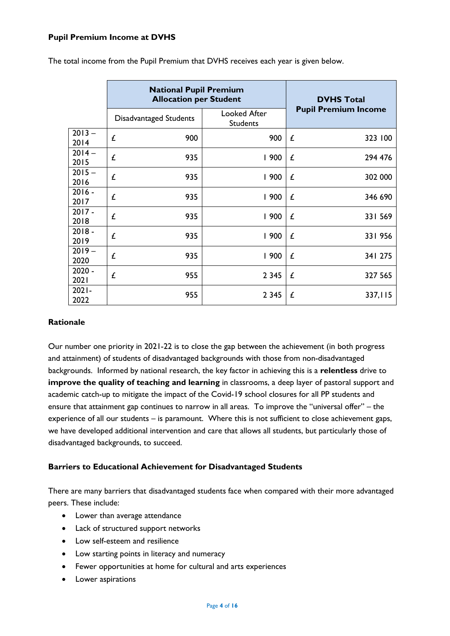### **Pupil Premium Income at DVHS**

|                  | <b>National Pupil Premium</b><br><b>Allocation per Student</b> | <b>DVHS Total</b>               |                             |
|------------------|----------------------------------------------------------------|---------------------------------|-----------------------------|
|                  | <b>Disadvantaged Students</b>                                  | Looked After<br><b>Students</b> | <b>Pupil Premium Income</b> |
| $2013 -$         | £                                                              | 900                             | £                           |
| 2014             | 900                                                            |                                 | 323 100                     |
| $2014 -$         | £                                                              | 1900                            | £                           |
| 2015             | 935                                                            |                                 | 294 476                     |
| $2015 -$         | £                                                              | 1900                            | £                           |
| 2016             | 935                                                            |                                 | 302 000                     |
| $2016 -$         | £                                                              | 1900                            | 346 690                     |
| 2017             | 935                                                            |                                 | £                           |
| $2017 -$         | £                                                              | 1900                            | £                           |
| 2018             | 935                                                            |                                 | 331 569                     |
| $2018 -$         | £                                                              | 1900                            | £                           |
| 2019             | 935                                                            |                                 | 331 956                     |
| $2019 -$         | £                                                              | 1900                            | £                           |
| 2020             | 935                                                            |                                 | 341 275                     |
| $2020 -$         | £                                                              | 2 3 4 5                         | £                           |
| 2021             | 955                                                            |                                 | 327 565                     |
| $2021 -$<br>2022 | 955                                                            | 2 3 4 5                         | 337,115<br>£                |

The total income from the Pupil Premium that DVHS receives each year is given below.

### **Rationale**

Our number one priority in 2021-22 is to close the gap between the achievement (in both progress and attainment) of students of disadvantaged backgrounds with those from non-disadvantaged backgrounds. Informed by national research, the key factor in achieving this is a **relentless** drive to **improve the quality of teaching and learning** in classrooms, a deep layer of pastoral support and academic catch-up to mitigate the impact of the Covid-19 school closures for all PP students and ensure that attainment gap continues to narrow in all areas. To improve the "universal offer" – the experience of all our students – is paramount. Where this is not sufficient to close achievement gaps, we have developed additional intervention and care that allows all students, but particularly those of disadvantaged backgrounds, to succeed.

#### **Barriers to Educational Achievement for Disadvantaged Students**

There are many barriers that disadvantaged students face when compared with their more advantaged peers. These include:

- Lower than average attendance
- Lack of structured support networks
- Low self-esteem and resilience
- Low starting points in literacy and numeracy
- Fewer opportunities at home for cultural and arts experiences
- Lower aspirations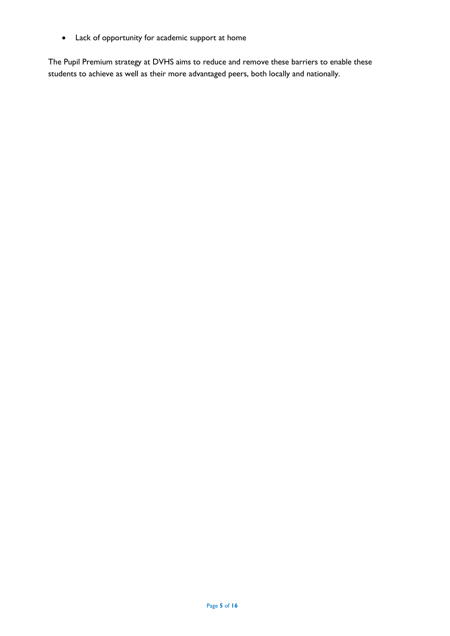• Lack of opportunity for academic support at home

The Pupil Premium strategy at DVHS aims to reduce and remove these barriers to enable these students to achieve as well as their more advantaged peers, both locally and nationally.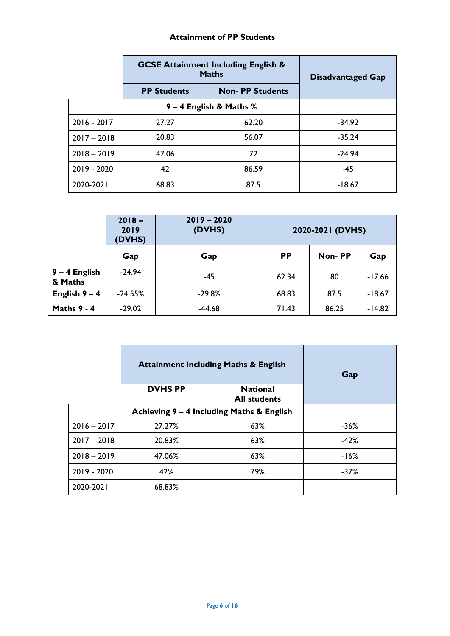## **Attainment of PP Students**

|               | <b>GCSE Attainment Including English &amp;</b><br><b>Maths</b> | <b>Disadvantaged Gap</b> |          |
|---------------|----------------------------------------------------------------|--------------------------|----------|
|               | <b>PP Students</b>                                             | <b>Non- PP Students</b>  |          |
|               | $9 - 4$ English & Maths %                                      |                          |          |
| $2016 - 2017$ | 27.27                                                          | 62.20                    | $-34.92$ |
| $2017 - 2018$ | 20.83                                                          | 56.07                    | $-35.24$ |
| $2018 - 2019$ | 47.06                                                          | 72                       | $-24.94$ |
| 2019 - 2020   | 42                                                             | 86.59                    | $-45$    |
| 2020-2021     | 68.83                                                          | 87.5                     | $-18.67$ |

|                            | $2018 -$<br>2019<br>(DVHS) | $2019 - 2020$<br>(DVHS) |           | 2020-2021 (DVHS) |          |
|----------------------------|----------------------------|-------------------------|-----------|------------------|----------|
|                            | Gap                        | Gap                     | <b>PP</b> | Non-PP           | Gap      |
| $9 - 4$ English<br>& Maths | $-24.94$                   | -45                     | 62.34     | 80               | $-17.66$ |
| English $9 - 4$            | $-24.55%$                  | $-29.8%$                | 68.83     | 87.5             | $-18.67$ |
| Maths $9 - 4$              | $-29.02$                   | $-44.68$                | 71.43     | 86.25            | $-14.82$ |

|               | <b>Attainment Including Maths &amp; English</b>         | Gap |        |  |  |
|---------------|---------------------------------------------------------|-----|--------|--|--|
|               | <b>DVHSPP</b><br><b>National</b><br><b>All students</b> |     |        |  |  |
|               | Achieving 9 - 4 Including Maths & English               |     |        |  |  |
| $2016 - 2017$ | 27.27%                                                  | 63% |        |  |  |
| $2017 - 2018$ | 20.83%                                                  | 63% | $-42%$ |  |  |
| $2018 - 2019$ | 47.06%                                                  | 63% | $-16%$ |  |  |
| $2019 - 2020$ | 42%                                                     | 79% |        |  |  |
| 2020-2021     | 68.83%                                                  |     |        |  |  |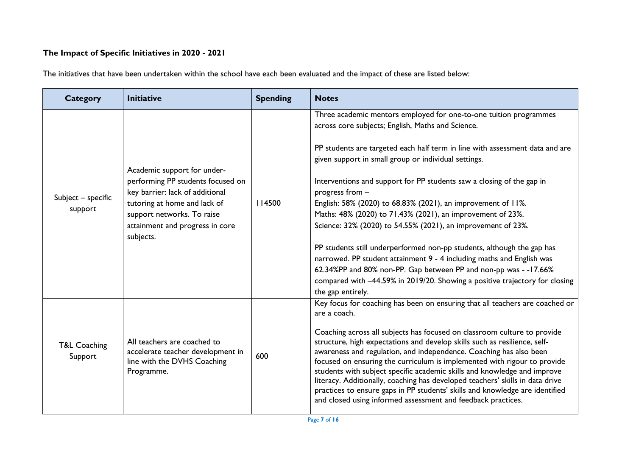# **The Impact of Specific Initiatives in 2020 - 2021**

The initiatives that have been undertaken within the school have each been evaluated and the impact of these are listed below:

| <b>Category</b>                    | <b>Initiative</b>                                                                                                                                                                                                 | <b>Spending</b> | <b>Notes</b>                                                                                                                                                                                                                                                                                                                                                                                                                                                                                                                                                                                                                                                                                                                                                                                                                                                                        |
|------------------------------------|-------------------------------------------------------------------------------------------------------------------------------------------------------------------------------------------------------------------|-----------------|-------------------------------------------------------------------------------------------------------------------------------------------------------------------------------------------------------------------------------------------------------------------------------------------------------------------------------------------------------------------------------------------------------------------------------------------------------------------------------------------------------------------------------------------------------------------------------------------------------------------------------------------------------------------------------------------------------------------------------------------------------------------------------------------------------------------------------------------------------------------------------------|
| Subject - specific<br>support      | Academic support for under-<br>performing PP students focused on<br>key barrier: lack of additional<br>tutoring at home and lack of<br>support networks. To raise<br>attainment and progress in core<br>subjects. | 14500           | Three academic mentors employed for one-to-one tuition programmes<br>across core subjects; English, Maths and Science.<br>PP students are targeted each half term in line with assessment data and are<br>given support in small group or individual settings.<br>Interventions and support for PP students saw a closing of the gap in<br>progress from -<br>English: 58% (2020) to 68.83% (2021), an improvement of 11%.<br>Maths: 48% (2020) to 71.43% (2021), an improvement of 23%.<br>Science: 32% (2020) to 54.55% (2021), an improvement of 23%.<br>PP students still underperformed non-pp students, although the gap has<br>narrowed. PP student attainment 9 - 4 including maths and English was<br>62.34%PP and 80% non-PP. Gap between PP and non-pp was - -17.66%<br>compared with -44.59% in 2019/20. Showing a positive trajectory for closing<br>the gap entirely. |
| <b>T&amp;L Coaching</b><br>Support | All teachers are coached to<br>accelerate teacher development in<br>line with the DVHS Coaching<br>Programme.                                                                                                     | 600             | Key focus for coaching has been on ensuring that all teachers are coached or<br>are a coach.<br>Coaching across all subjects has focused on classroom culture to provide<br>structure, high expectations and develop skills such as resilience, self-<br>awareness and regulation, and independence. Coaching has also been<br>focused on ensuring the curriculum is implemented with rigour to provide<br>students with subject specific academic skills and knowledge and improve<br>literacy. Additionally, coaching has developed teachers' skills in data drive<br>practices to ensure gaps in PP students' skills and knowledge are identified<br>and closed using informed assessment and feedback practices.                                                                                                                                                                |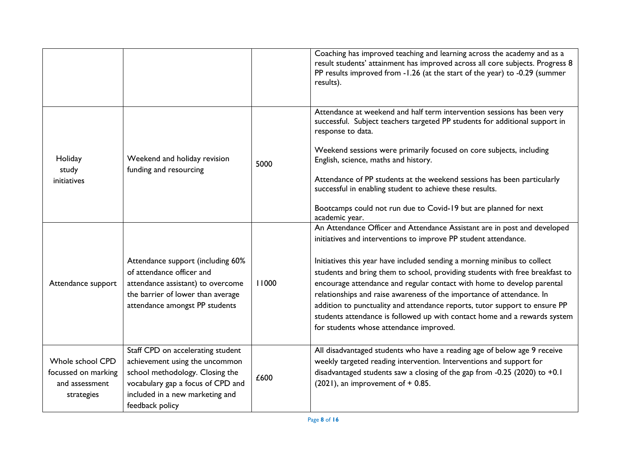|                                                                         |                                                                                                                                                                                                   |       | Coaching has improved teaching and learning across the academy and as a<br>result students' attainment has improved across all core subjects. Progress 8<br>PP results improved from -1.26 (at the start of the year) to -0.29 (summer<br>results).                                                                                                                                                                                                                                                                                                                                                                                                              |
|-------------------------------------------------------------------------|---------------------------------------------------------------------------------------------------------------------------------------------------------------------------------------------------|-------|------------------------------------------------------------------------------------------------------------------------------------------------------------------------------------------------------------------------------------------------------------------------------------------------------------------------------------------------------------------------------------------------------------------------------------------------------------------------------------------------------------------------------------------------------------------------------------------------------------------------------------------------------------------|
| Holiday<br>study<br>initiatives                                         | Weekend and holiday revision<br>funding and resourcing                                                                                                                                            | 5000  | Attendance at weekend and half term intervention sessions has been very<br>successful. Subject teachers targeted PP students for additional support in<br>response to data.<br>Weekend sessions were primarily focused on core subjects, including<br>English, science, maths and history.<br>Attendance of PP students at the weekend sessions has been particularly<br>successful in enabling student to achieve these results.<br>Bootcamps could not run due to Covid-19 but are planned for next<br>academic year.                                                                                                                                          |
| Attendance support                                                      | Attendance support (including 60%<br>of attendance officer and<br>attendance assistant) to overcome<br>the barrier of lower than average<br>attendance amongst PP students                        | 11000 | An Attendance Officer and Attendance Assistant are in post and developed<br>initiatives and interventions to improve PP student attendance.<br>Initiatives this year have included sending a morning minibus to collect<br>students and bring them to school, providing students with free breakfast to<br>encourage attendance and regular contact with home to develop parental<br>relationships and raise awareness of the importance of attendance. In<br>addition to punctuality and attendance reports, tutor support to ensure PP<br>students attendance is followed up with contact home and a rewards system<br>for students whose attendance improved. |
| Whole school CPD<br>focussed on marking<br>and assessment<br>strategies | Staff CPD on accelerating student<br>achievement using the uncommon<br>school methodology. Closing the<br>vocabulary gap a focus of CPD and<br>included in a new marketing and<br>feedback policy | £600  | All disadvantaged students who have a reading age of below age 9 receive<br>weekly targeted reading intervention. Interventions and support for<br>disadvantaged students saw a closing of the gap from -0.25 (2020) to $+0.1$<br>$(2021)$ , an improvement of + 0.85.                                                                                                                                                                                                                                                                                                                                                                                           |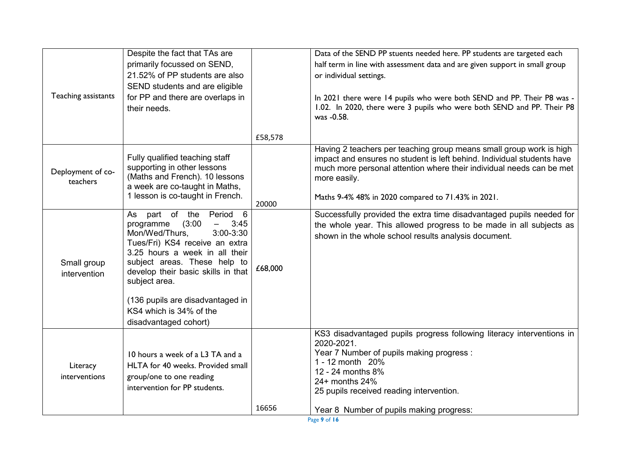|                     | Despite the fact that TAs are                                      |         | Data of the SEND PP stuents needed here. PP students are targeted each      |
|---------------------|--------------------------------------------------------------------|---------|-----------------------------------------------------------------------------|
|                     | primarily focussed on SEND,                                        |         | half term in line with assessment data and are given support in small group |
|                     | 21.52% of PP students are also                                     |         | or individual settings.                                                     |
|                     | SEND students and are eligible                                     |         |                                                                             |
| Teaching assistants | for PP and there are overlaps in                                   |         | In 2021 there were 14 pupils who were both SEND and PP. Their P8 was -      |
|                     | their needs.                                                       |         | 1.02. In 2020, there were 3 pupils who were both SEND and PP. Their P8      |
|                     |                                                                    |         | was -0.58.                                                                  |
|                     |                                                                    | £58,578 |                                                                             |
|                     |                                                                    |         | Having 2 teachers per teaching group means small group work is high         |
|                     | Fully qualified teaching staff                                     |         | impact and ensures no student is left behind. Individual students have      |
| Deployment of co-   | supporting in other lessons                                        |         | much more personal attention where their individual needs can be met        |
| teachers            | (Maths and French). 10 lessons                                     |         | more easily.                                                                |
|                     | a week are co-taught in Maths,<br>1 lesson is co-taught in French. |         |                                                                             |
|                     |                                                                    | 20000   | Maths 9-4% 48% in 2020 compared to 71.43% in 2021.                          |
|                     | part of the Period 6<br>As                                         |         | Successfully provided the extra time disadvantaged pupils needed for        |
|                     | (3:00)<br>programme<br>3:45<br>$\overline{\phantom{0}}$            |         | the whole year. This allowed progress to be made in all subjects as         |
|                     | Mon/Wed/Thurs,<br>$3:00 - 3:30$<br>Tues/Fri) KS4 receive an extra  |         | shown in the whole school results analysis document.                        |
|                     | 3.25 hours a week in all their                                     |         |                                                                             |
| Small group         | subject areas. These help to                                       |         |                                                                             |
| intervention        | develop their basic skills in that                                 | £68,000 |                                                                             |
|                     | subject area.                                                      |         |                                                                             |
|                     |                                                                    |         |                                                                             |
|                     | (136 pupils are disadvantaged in<br>KS4 which is 34% of the        |         |                                                                             |
|                     | disadvantaged cohort)                                              |         |                                                                             |
|                     |                                                                    |         | KS3 disadvantaged pupils progress following literacy interventions in       |
|                     |                                                                    |         | 2020-2021.                                                                  |
|                     | 10 hours a week of a L3 TA and a                                   |         | Year 7 Number of pupils making progress:                                    |
| Literacy            | HLTA for 40 weeks. Provided small                                  |         | 1 - 12 month 20%                                                            |
| interventions       | group/one to one reading                                           |         | 12 - 24 months 8%                                                           |
|                     | intervention for PP students.                                      |         | 24+ months 24%<br>25 pupils received reading intervention.                  |
|                     |                                                                    |         |                                                                             |
|                     |                                                                    | 16656   | Year 8 Number of pupils making progress:                                    |
|                     |                                                                    |         | Page 9 of 16                                                                |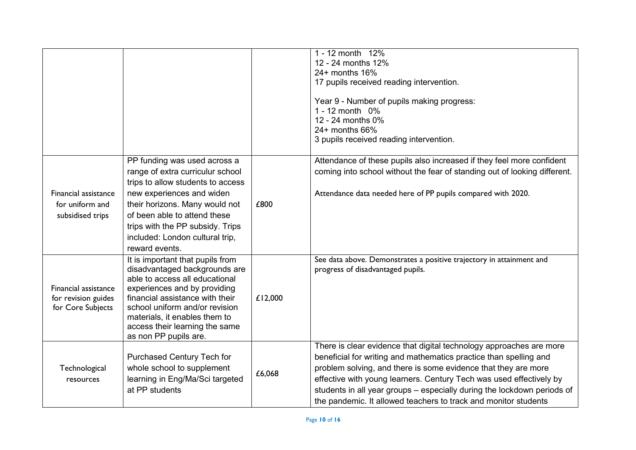|                                                                  |                                                                                                                                                                                                                                                                                                      |         | 1 - 12 month 12%<br>12 - 24 months 12%<br>24+ months 16%<br>17 pupils received reading intervention.<br>Year 9 - Number of pupils making progress:<br>1 - 12 month 0%<br>12 - 24 months 0%<br>$24+$ months 66%<br>3 pupils received reading intervention.                                                                                                                                                                       |
|------------------------------------------------------------------|------------------------------------------------------------------------------------------------------------------------------------------------------------------------------------------------------------------------------------------------------------------------------------------------------|---------|---------------------------------------------------------------------------------------------------------------------------------------------------------------------------------------------------------------------------------------------------------------------------------------------------------------------------------------------------------------------------------------------------------------------------------|
| Financial assistance<br>for uniform and<br>subsidised trips      | PP funding was used across a<br>range of extra curriculur school<br>trips to allow students to access<br>new experiences and widen<br>their horizons. Many would not<br>of been able to attend these<br>trips with the PP subsidy. Trips<br>included: London cultural trip,<br>reward events.        | £800    | Attendance of these pupils also increased if they feel more confident<br>coming into school without the fear of standing out of looking different.<br>Attendance data needed here of PP pupils compared with 2020.                                                                                                                                                                                                              |
| Financial assistance<br>for revision guides<br>for Core Subjects | It is important that pupils from<br>disadvantaged backgrounds are<br>able to access all educational<br>experiences and by providing<br>financial assistance with their<br>school uniform and/or revision<br>materials, it enables them to<br>access their learning the same<br>as non PP pupils are. | £12,000 | See data above. Demonstrates a positive trajectory in attainment and<br>progress of disadvantaged pupils.                                                                                                                                                                                                                                                                                                                       |
| Technological<br>resources                                       | Purchased Century Tech for<br>whole school to supplement<br>learning in Eng/Ma/Sci targeted<br>at PP students                                                                                                                                                                                        | £6,068  | There is clear evidence that digital technology approaches are more<br>beneficial for writing and mathematics practice than spelling and<br>problem solving, and there is some evidence that they are more<br>effective with young learners. Century Tech was used effectively by<br>students in all year groups - especially during the lockdown periods of<br>the pandemic. It allowed teachers to track and monitor students |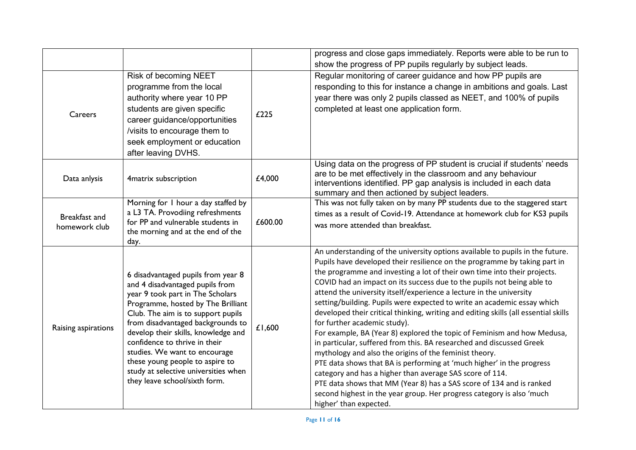|                                |                                                                                                                                                                                                                                                                                                                                                                                                                                                 |         | progress and close gaps immediately. Reports were able to be run to<br>show the progress of PP pupils regularly by subject leads.                                                                                                                                                                                                                                                                                                                                                                                                                                                                                                                                                                                                                                                                                                                                                                                                                                                                                                                                                                                      |
|--------------------------------|-------------------------------------------------------------------------------------------------------------------------------------------------------------------------------------------------------------------------------------------------------------------------------------------------------------------------------------------------------------------------------------------------------------------------------------------------|---------|------------------------------------------------------------------------------------------------------------------------------------------------------------------------------------------------------------------------------------------------------------------------------------------------------------------------------------------------------------------------------------------------------------------------------------------------------------------------------------------------------------------------------------------------------------------------------------------------------------------------------------------------------------------------------------------------------------------------------------------------------------------------------------------------------------------------------------------------------------------------------------------------------------------------------------------------------------------------------------------------------------------------------------------------------------------------------------------------------------------------|
| Careers                        | Risk of becoming NEET<br>programme from the local<br>authority where year 10 PP<br>students are given specific<br>career guidance/opportunities<br>/visits to encourage them to<br>seek employment or education<br>after leaving DVHS.                                                                                                                                                                                                          | £225    | Regular monitoring of career guidance and how PP pupils are<br>responding to this for instance a change in ambitions and goals. Last<br>year there was only 2 pupils classed as NEET, and 100% of pupils<br>completed at least one application form.                                                                                                                                                                                                                                                                                                                                                                                                                                                                                                                                                                                                                                                                                                                                                                                                                                                                   |
| Data anlysis                   | 4matrix subscription                                                                                                                                                                                                                                                                                                                                                                                                                            | £4,000  | Using data on the progress of PP student is crucial if students' needs<br>are to be met effectively in the classroom and any behaviour<br>interventions identified. PP gap analysis is included in each data<br>summary and then actioned by subject leaders.                                                                                                                                                                                                                                                                                                                                                                                                                                                                                                                                                                                                                                                                                                                                                                                                                                                          |
| Breakfast and<br>homework club | Morning for I hour a day staffed by<br>a L3 TA. Provodiing refreshments<br>for PP and vulnerable students in<br>the morning and at the end of the<br>day.                                                                                                                                                                                                                                                                                       | £600.00 | This was not fully taken on by many PP students due to the staggered start<br>times as a result of Covid-19. Attendance at homework club for KS3 pupils<br>was more attended than breakfast.                                                                                                                                                                                                                                                                                                                                                                                                                                                                                                                                                                                                                                                                                                                                                                                                                                                                                                                           |
| Raising aspirations            | 6 disadvantaged pupils from year 8<br>and 4 disadvantaged pupils from<br>year 9 took part in The Scholars<br>Programme, hosted by The Brilliant<br>Club. The aim is to support pupils<br>from disadvantaged backgrounds to<br>develop their skills, knowledge and<br>confidence to thrive in their<br>studies. We want to encourage<br>these young people to aspire to<br>study at selective universities when<br>they leave school/sixth form. | £1,600  | An understanding of the university options available to pupils in the future.<br>Pupils have developed their resilience on the programme by taking part in<br>the programme and investing a lot of their own time into their projects.<br>COVID had an impact on its success due to the pupils not being able to<br>attend the university itself/experience a lecture in the university<br>setting/building. Pupils were expected to write an academic essay which<br>developed their critical thinking, writing and editing skills (all essential skills<br>for further academic study).<br>For example, BA (Year 8) explored the topic of Feminism and how Medusa,<br>in particular, suffered from this. BA researched and discussed Greek<br>mythology and also the origins of the feminist theory.<br>PTE data shows that BA is performing at 'much higher' in the progress<br>category and has a higher than average SAS score of 114.<br>PTE data shows that MM (Year 8) has a SAS score of 134 and is ranked<br>second highest in the year group. Her progress category is also 'much<br>higher' than expected. |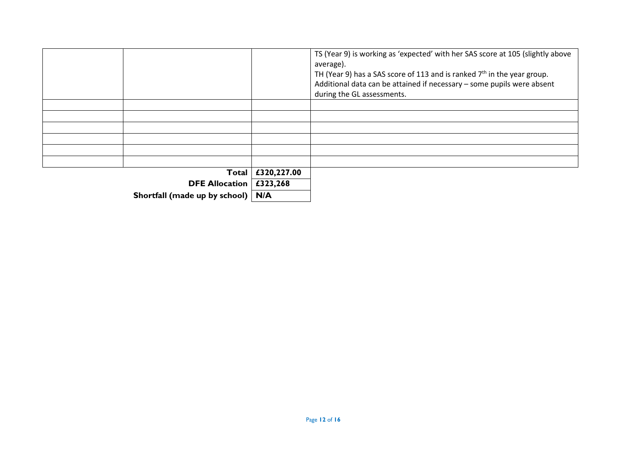|                               |             | TS (Year 9) is working as 'expected' with her SAS score at 105 (slightly above<br>average).<br>TH (Year 9) has a SAS score of 113 and is ranked $7th$ in the year group.<br>Additional data can be attained if necessary - some pupils were absent<br>during the GL assessments. |
|-------------------------------|-------------|----------------------------------------------------------------------------------------------------------------------------------------------------------------------------------------------------------------------------------------------------------------------------------|
|                               |             |                                                                                                                                                                                                                                                                                  |
| Total                         | £320,227.00 |                                                                                                                                                                                                                                                                                  |
| <b>DFE Allocation</b>         | £323,268    |                                                                                                                                                                                                                                                                                  |
| Shortfall (made up by school) | N/A         |                                                                                                                                                                                                                                                                                  |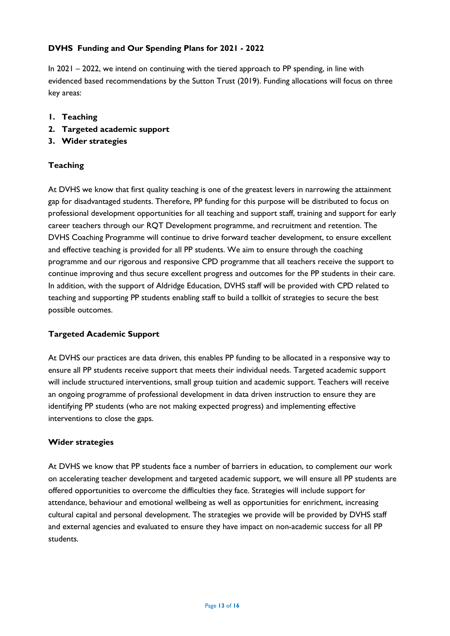# **DVHS Funding and Our Spending Plans for 2021 - 2022**

In 2021 – 2022, we intend on continuing with the tiered approach to PP spending, in line with evidenced based recommendations by the Sutton Trust (2019). Funding allocations will focus on three key areas:

- **1. Teaching**
- **2. Targeted academic support**
- **3. Wider strategies**

# **Teaching**

At DVHS we know that first quality teaching is one of the greatest levers in narrowing the attainment gap for disadvantaged students. Therefore, PP funding for this purpose will be distributed to focus on professional development opportunities for all teaching and support staff, training and support for early career teachers through our RQT Development programme, and recruitment and retention. The DVHS Coaching Programme will continue to drive forward teacher development, to ensure excellent and effective teaching is provided for all PP students. We aim to ensure through the coaching programme and our rigorous and responsive CPD programme that all teachers receive the support to continue improving and thus secure excellent progress and outcomes for the PP students in their care. In addition, with the support of Aldridge Education, DVHS staff will be provided with CPD related to teaching and supporting PP students enabling staff to build a tollkit of strategies to secure the best possible outcomes.

## **Targeted Academic Support**

At DVHS our practices are data driven, this enables PP funding to be allocated in a responsive way to ensure all PP students receive support that meets their individual needs. Targeted academic support will include structured interventions, small group tuition and academic support. Teachers will receive an ongoing programme of professional development in data driven instruction to ensure they are identifying PP students (who are not making expected progress) and implementing effective interventions to close the gaps.

## **Wider strategies**

At DVHS we know that PP students face a number of barriers in education, to complement our work on accelerating teacher development and targeted academic support, we will ensure all PP students are offered opportunities to overcome the difficulties they face. Strategies will include support for attendance, behaviour and emotional wellbeing as well as opportunities for enrichment, increasing cultural capital and personal development. The strategies we provide will be provided by DVHS staff and external agencies and evaluated to ensure they have impact on non-academic success for all PP students.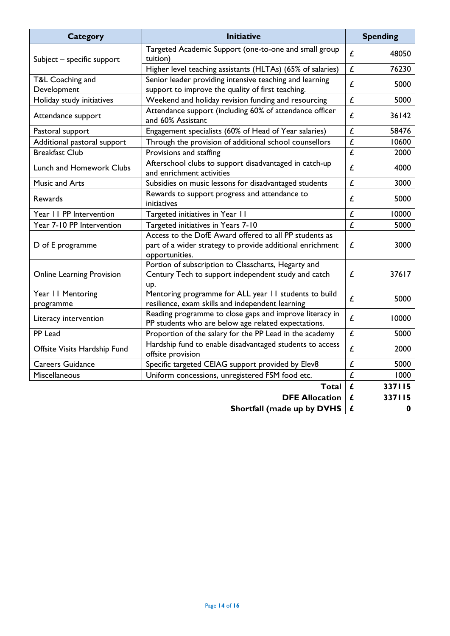| <b>Category</b>                  | <b>Initiative</b>                                                                                                                     | <b>Spending</b> |        |  |
|----------------------------------|---------------------------------------------------------------------------------------------------------------------------------------|-----------------|--------|--|
| Subject - specific support       | Targeted Academic Support (one-to-one and small group<br>tuition)                                                                     | £               | 48050  |  |
|                                  | Higher level teaching assistants (HLTAs) (65% of salaries)                                                                            | £               | 76230  |  |
| T&L Coaching and<br>Development  | Senior leader providing intensive teaching and learning<br>support to improve the quality of first teaching.                          |                 | 5000   |  |
| Holiday study initiatives        | Weekend and holiday revision funding and resourcing                                                                                   |                 | 5000   |  |
| Attendance support               | Attendance support (including 60% of attendance officer<br>and 60% Assistant                                                          | £               | 36142  |  |
| Pastoral support                 | Engagement specialists (60% of Head of Year salaries)                                                                                 |                 | 58476  |  |
| Additional pastoral support      | Through the provision of additional school counsellors                                                                                |                 | 10600  |  |
| <b>Breakfast Club</b>            | Provisions and staffing                                                                                                               | £               | 2000   |  |
| <b>Lunch and Homework Clubs</b>  | Afterschool clubs to support disadvantaged in catch-up<br>and enrichment activities                                                   | £               | 4000   |  |
| Music and Arts                   | Subsidies on music lessons for disadvantaged students                                                                                 | £               | 3000   |  |
| Rewards                          | Rewards to support progress and attendance to<br>initiatives                                                                          | £               | 5000   |  |
| Year II PP Intervention          | Targeted initiatives in Year 11                                                                                                       | £               | 10000  |  |
| Year 7-10 PP Intervention        | Targeted initiatives in Years 7-10                                                                                                    | £               | 5000   |  |
| D of E programme                 | Access to the DofE Award offered to all PP students as<br>part of a wider strategy to provide additional enrichment<br>opportunities. |                 | 3000   |  |
| <b>Online Learning Provision</b> | Portion of subscription to Classcharts, Hegarty and<br>Century Tech to support independent study and catch<br>up.                     |                 | 37617  |  |
| Year 11 Mentoring<br>programme   | Mentoring programme for ALL year 11 students to build<br>resilience, exam skills and independent learning                             |                 | 5000   |  |
| Literacy intervention            | Reading programme to close gaps and improve literacy in<br>PP students who are below age related expectations.                        | £               | 10000  |  |
| PP Lead                          | Proportion of the salary for the PP Lead in the academy                                                                               | £               | 5000   |  |
| Offsite Visits Hardship Fund     | Hardship fund to enable disadvantaged students to access<br>offsite provision                                                         |                 | 2000   |  |
| <b>Careers Guidance</b>          | Specific targeted CEIAG support provided by Elev8                                                                                     | £<br>5000       |        |  |
| Miscellaneous                    | Uniform concessions, unregistered FSM food etc.                                                                                       | £               | 1000   |  |
|                                  | Total                                                                                                                                 | £               | 337115 |  |
|                                  | £                                                                                                                                     | 337115          |        |  |
|                                  | £                                                                                                                                     | $\mathbf 0$     |        |  |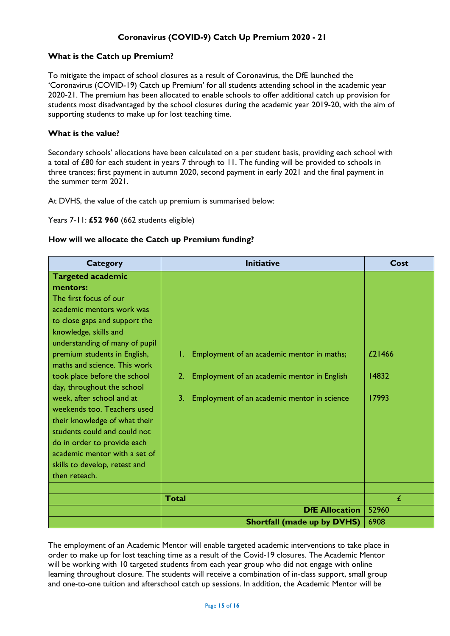# **Coronavirus (COVID-9) Catch Up Premium 2020 - 21**

#### **What is the Catch up Premium?**

To mitigate the impact of school closures as a result of Coronavirus, the DfE launched the 'Coronavirus (COVID-19) Catch up Premium' for all students attending school in the academic year 2020-21. The premium has been allocated to enable schools to offer additional catch up provision for students most disadvantaged by the school closures during the academic year 2019-20, with the aim of supporting students to make up for lost teaching time.

#### **What is the value?**

Secondary schools' allocations have been calculated on a per student basis, providing each school with a total of £80 for each student in years 7 through to 11. The funding will be provided to schools in three trances; first payment in autumn 2020, second payment in early 2021 and the final payment in the summer term 2021.

At DVHS, the value of the catch up premium is summarised below:

Years 7-11: **£52 960** (662 students eligible)

#### **How will we allocate the Catch up Premium funding?**

| <b>Category</b>                |              | <b>Initiative</b>                           | Cost   |
|--------------------------------|--------------|---------------------------------------------|--------|
| <b>Targeted academic</b>       |              |                                             |        |
| mentors:                       |              |                                             |        |
| The first focus of our         |              |                                             |        |
| academic mentors work was      |              |                                             |        |
| to close gaps and support the  |              |                                             |        |
| knowledge, skills and          |              |                                             |        |
| understanding of many of pupil |              |                                             |        |
| premium students in English,   |              | Employment of an academic mentor in maths;  | £21466 |
| maths and science. This work   |              |                                             |        |
| took place before the school   | 2.           | Employment of an academic mentor in English | 14832  |
| day, throughout the school     |              |                                             |        |
| week, after school and at      | 3.           | Employment of an academic mentor in science | 17993  |
| weekends too. Teachers used    |              |                                             |        |
| their knowledge of what their  |              |                                             |        |
| students could and could not   |              |                                             |        |
| do in order to provide each    |              |                                             |        |
| academic mentor with a set of  |              |                                             |        |
| skills to develop, retest and  |              |                                             |        |
| then reteach.                  |              |                                             |        |
|                                |              |                                             |        |
|                                | <b>Total</b> |                                             | £      |
|                                |              | <b>DfE Allocation</b>                       | 52960  |
|                                |              | <b>Shortfall (made up by DVHS)</b>          | 6908   |

The employment of an Academic Mentor will enable targeted academic interventions to take place in order to make up for lost teaching time as a result of the Covid-19 closures. The Academic Mentor will be working with 10 targeted students from each year group who did not engage with online learning throughout closure. The students will receive a combination of in-class support, small group and one-to-one tuition and afterschool catch up sessions. In addition, the Academic Mentor will be